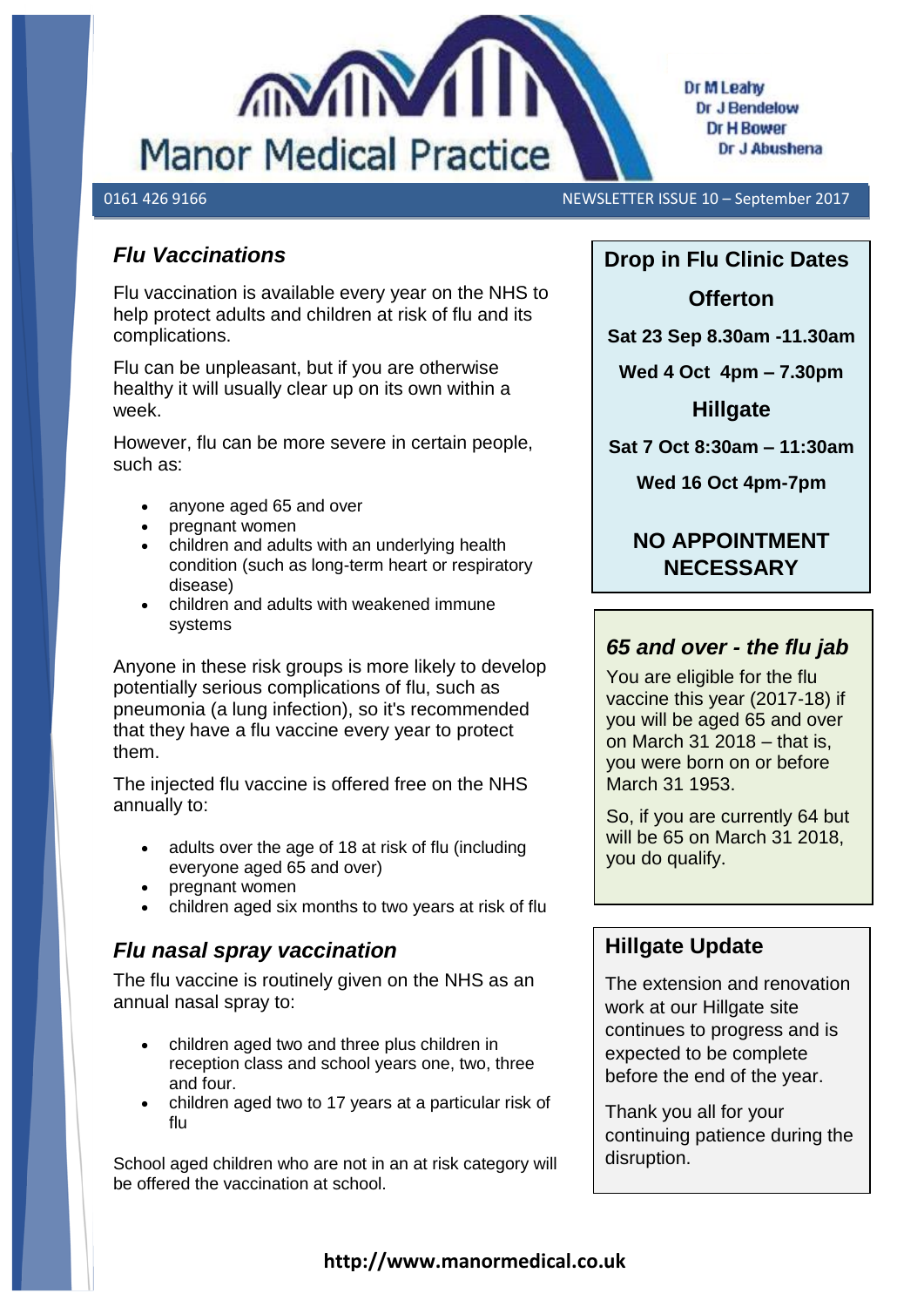

#### 0161 426 9166 NEWSLETTER ISSUE 10 – September 2017

#### *Flu Vaccinations*

Flu vaccination is available every year on the NHS to help protect adults and children at risk of flu and its complications.

Flu can be unpleasant, but if you are otherwise healthy it will usually clear up on its own within a week.

However, flu can be more severe in certain people, such as:

- anyone aged 65 and over
- pregnant women
- children and adults with an underlying health condition (such as long-term heart or respiratory disease)
- children and adults with weakened immune systems

Anyone in these risk groups is more likely to develop potentially serious complications of flu, such as [pneumonia \(a lun](https://www.google.co.uk/url?url=https://www.pinterest.com/medspring/allergies-are-the-worst/&rct=j&frm=1&q=&esrc=s&sa=U&ved=0ahUKEwjIuoHA5f7UAhWiL8AKHU9VCjo4FBDBbggcMAM&usg=AFQjCNHde-cKHz_U2OluSVAxWUwe9QClfw)g infection), so it's recommended that they have a flu vaccine every year to protect them.

The injected flu vaccine is offered free on the NHS annually to:

- adults over the age of 18 at risk of flu (including everyone aged 65 and over)
- pregnant women
- children aged six months to two years at risk of flu

#### *Flu nasal spray vaccination*

The flu vaccine is routinely given on the NHS as an annual nasal spray to:

- children aged two and three plus children in reception class and school years one, two, three and four.
- children aged two to 17 years at a particular risk of flu

School aged children who are not in an at risk category will be offered the vaccination at school.

# **Drop in Flu Clinic Dates**

#### **Offerton**

**Sat 23 Sep 8.30am -11.30am**

**Wed 4 Oct 4pm – 7.30pm**

**Hillgate**

**Sat 7 Oct 8:30am – 11:30am**

**Wed 16 Oct 4pm-7pm**

### **NO APPOINTMENT NECESSARY**

#### *65 and over - the flu jab*

You are eligible for the flu vaccine this year (2017-18) if you will be aged 65 and over on March 31 2018 – that is, you were born on or before March 31 1953.

So, if you are currently 64 but will be 65 on March 31 2018, you do qualify.

#### **Hillgate Update**

The extension and renovation work at our Hillgate site continues to progress and is expected to be complete before the end of the year.

Thank you all for your continuing patience during the disruption.